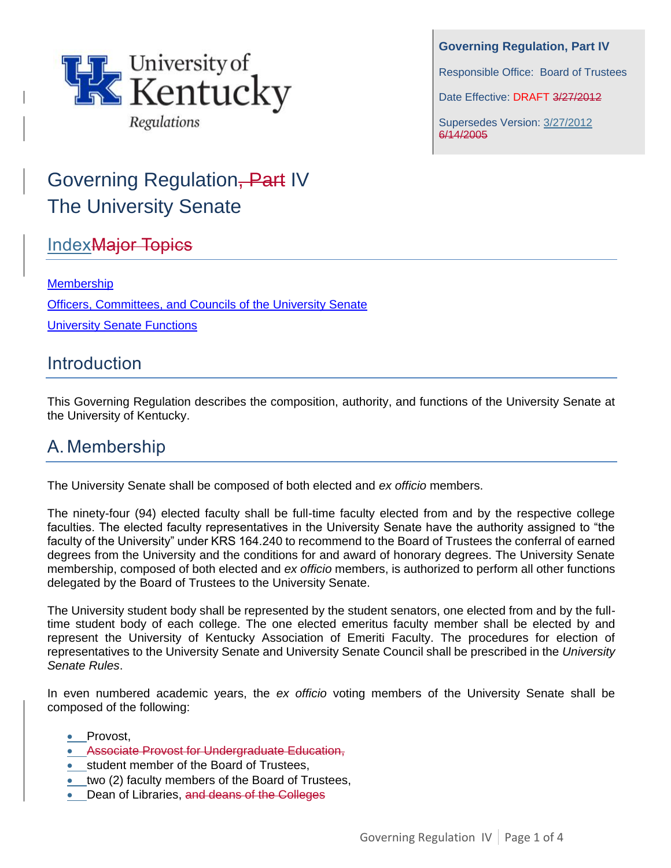

**Governing Regulation, Part IV**

Responsible Office: Board of Trustees

Date Effective: DRAFT 3/27/2012

Supersedes Version: 3/27/2012 6/14/2005

# Governing Regulation, Part IV The University Senate

# **Index<del>Major Topics</del>**

### [Membership](#page-0-0)

[Officers, Committees, and Councils of the University Senate](#page-1-0) [University Senate Functions](#page-2-0)

### **Introduction**

This Governing Regulation describes the composition, authority, and functions of the University Senate at the University of Kentucky.

# <span id="page-0-0"></span>A. Membership

The University Senate shall be composed of both elected and *ex officio* members.

The ninety-four (94) elected faculty shall be full-time faculty elected from and by the respective college faculties. The elected faculty representatives in the University Senate have the authority assigned to "the faculty of the University" under KRS 164.240 to recommend to the Board of Trustees the conferral of earned degrees from the University and the conditions for and award of honorary degrees. The University Senate membership, composed of both elected and *ex officio* members, is authorized to perform all other functions delegated by the Board of Trustees to the University Senate.

The University student body shall be represented by the student senators, one elected from and by the fulltime student body of each college. The one elected emeritus faculty member shall be elected by and represent the University of Kentucky Association of Emeriti Faculty. The procedures for election of representatives to the University Senate and University Senate Council shall be prescribed in the *University Senate Rules*.

In even numbered academic years, the *ex officio* voting members of the University Senate shall be composed of the following:

- Provost,
- Associate Provost for Undergraduate Education,
- student member of the Board of Trustees,
- two (2) faculty members of the Board of Trustees,
- Dean of Libraries, and deans of the Colleges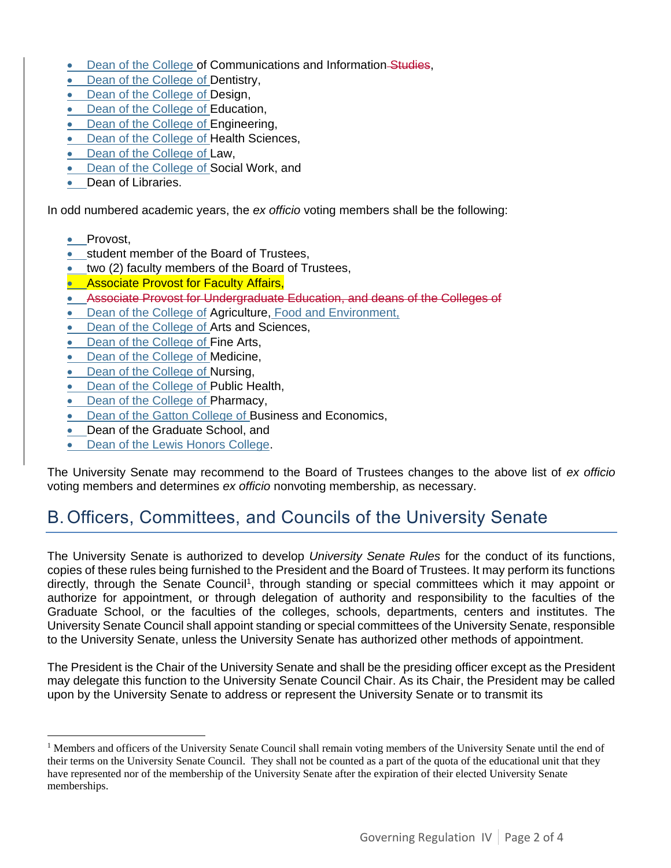- Dean of the College of Communications and Information-Studies,
- Dean of the College of Dentistry,
- Dean of the College of Design,
- Dean of the College of Education,
- Dean of the College of Engineering,
- Dean of the College of Health Sciences,
- Dean of the College of Law,
- Dean of the College of Social Work, and
- Dean of Libraries.

In odd numbered academic years, the *ex officio* voting members shall be the following:

• Provost,

 $\overline{a}$ 

- student member of the Board of Trustees,
- two (2) faculty members of the Board of Trustees,
- **Associate Provost for Faculty Affairs,**
- Associate Provost for Undergraduate Education, and deans of the Colleges of
- Dean of the College of Agriculture, Food and Environment,
- Dean of the College of Arts and Sciences,
- Dean of the College of Fine Arts,
- Dean of the College of Medicine,
- Dean of the College of Nursing,
- Dean of the College of Public Health,
- Dean of the College of Pharmacy,
- Dean of the Gatton College of Business and Economics,
- Dean of the Graduate School, and
- Dean of the Lewis Honors College.

The University Senate may recommend to the Board of Trustees changes to the above list of *ex officio*  voting members and determines *ex officio* nonvoting membership, as necessary.

# <span id="page-1-0"></span>B. Officers, Committees, and Councils of the University Senate

The University Senate is authorized to develop *University Senate Rules* for the conduct of its functions, copies of these rules being furnished to the President and the Board of Trustees. It may perform its functions directly, through the Senate Council<sup>1</sup>, through standing or special committees which it may appoint or authorize for appointment, or through delegation of authority and responsibility to the faculties of the Graduate School, or the faculties of the colleges, schools, departments, centers and institutes. The University Senate Council shall appoint standing or special committees of the University Senate, responsible to the University Senate, unless the University Senate has authorized other methods of appointment.

The President is the Chair of the University Senate and shall be the presiding officer except as the President may delegate this function to the University Senate Council Chair. As its Chair, the President may be called upon by the University Senate to address or represent the University Senate or to transmit its

<sup>&</sup>lt;sup>1</sup> Members and officers of the University Senate Council shall remain voting members of the University Senate until the end of their terms on the University Senate Council. They shall not be counted as a part of the quota of the educational unit that they have represented nor of the membership of the University Senate after the expiration of their elected University Senate memberships.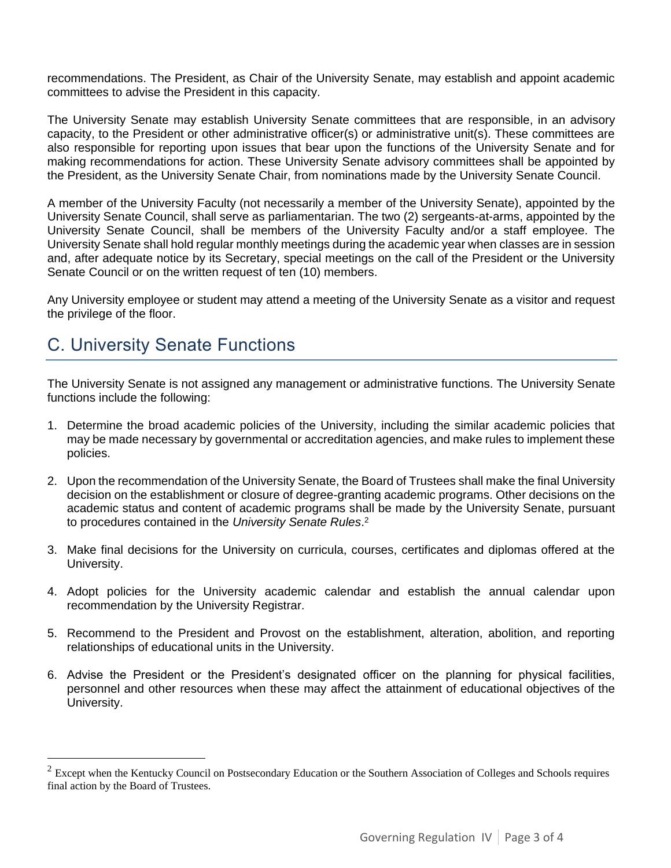recommendations. The President, as Chair of the University Senate, may establish and appoint academic committees to advise the President in this capacity.

The University Senate may establish University Senate committees that are responsible, in an advisory capacity, to the President or other administrative officer(s) or administrative unit(s). These committees are also responsible for reporting upon issues that bear upon the functions of the University Senate and for making recommendations for action. These University Senate advisory committees shall be appointed by the President, as the University Senate Chair, from nominations made by the University Senate Council.

A member of the University Faculty (not necessarily a member of the University Senate), appointed by the University Senate Council, shall serve as parliamentarian. The two (2) sergeants-at-arms, appointed by the University Senate Council, shall be members of the University Faculty and/or a staff employee. The University Senate shall hold regular monthly meetings during the academic year when classes are in session and, after adequate notice by its Secretary, special meetings on the call of the President or the University Senate Council or on the written request of ten (10) members.

Any University employee or student may attend a meeting of the University Senate as a visitor and request the privilege of the floor.

# <span id="page-2-0"></span>C. University Senate Functions

 $\overline{a}$ 

The University Senate is not assigned any management or administrative functions. The University Senate functions include the following:

- 1. Determine the broad academic policies of the University, including the similar academic policies that may be made necessary by governmental or accreditation agencies, and make rules to implement these policies.
- 2. Upon the recommendation of the University Senate, the Board of Trustees shall make the final University decision on the establishment or closure of degree-granting academic programs. Other decisions on the academic status and content of academic programs shall be made by the University Senate, pursuant to procedures contained in the *University Senate Rules*. 2
- 3. Make final decisions for the University on curricula, courses, certificates and diplomas offered at the University.
- 4. Adopt policies for the University academic calendar and establish the annual calendar upon recommendation by the University Registrar.
- 5. Recommend to the President and Provost on the establishment, alteration, abolition, and reporting relationships of educational units in the University.
- 6. Advise the President or the President's designated officer on the planning for physical facilities, personnel and other resources when these may affect the attainment of educational objectives of the University.

 $2$  Except when the Kentucky Council on Postsecondary Education or the Southern Association of Colleges and Schools requires final action by the Board of Trustees.